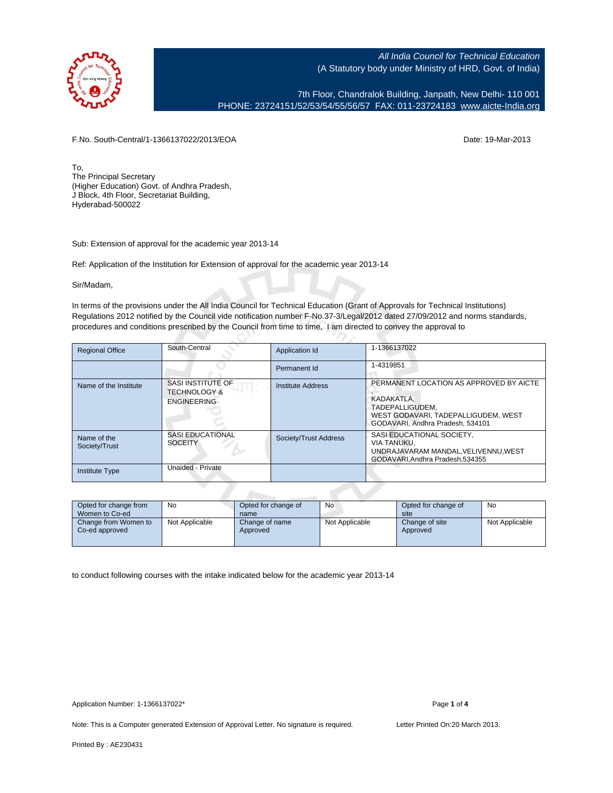

7th Floor, Chandralok Building, Janpath, New Delhi- 110 001 PHONE: 23724151/52/53/54/55/56/57 FAX: 011-23724183 [www.aicte-India.org](http://www.aicte-India.org)

F.No. South-Central/1-1366137022/2013/EOA Date: 19-Mar-2013

To, The Principal Secretary (Higher Education) Govt. of Andhra Pradesh, J Block, 4th Floor, Secretariat Building, Hyderabad-500022

Sub: Extension of approval for the academic year 2013-14

Ref: Application of the Institution for Extension of approval for the academic year 2013-14

G

Sir/Madam,

In terms of the provisions under the All India Council for Technical Education (Grant of Approvals for Technical Institutions) Regulations 2012 notified by the Council vide notification number F-No.37-3/Legal/2012 dated 27/09/2012 and norms standards, procedures and conditions prescribed by the Council from time to time, I am directed to convey the approval to

| <b>Regional Office</b>       | South-Central                                                      | Application Id           | 1-1366137022                                                                                                                                        |
|------------------------------|--------------------------------------------------------------------|--------------------------|-----------------------------------------------------------------------------------------------------------------------------------------------------|
|                              |                                                                    | Permanent Id             | 1-4319851                                                                                                                                           |
| Name of the Institute        | SASI INSTITUTE OF<br><b>TECHNOLOGY &amp;</b><br><b>ENGINEERING</b> | <b>Institute Address</b> | PERMANENT LOCATION AS APPROVED BY AICTE<br>KADAKATLA.<br>TADEPALLIGUDEM.<br>WEST GODAVARI, TADEPALLIGUDEM, WEST<br>GODAVARI, Andhra Pradesh, 534101 |
| Name of the<br>Society/Trust | <b>SASI EDUCATIONAL</b><br><b>SOCEITY</b>                          | Society/Trust Address    | SASI EDUCATIONAL SOCIETY,<br><b>VIA TANUKU.</b><br>UNDRAJAVARAM MANDAL, VELIVENNU, WEST<br>GODAVARI.Andhra Pradesh.534355                           |
| <b>Institute Type</b>        | Unaided - Private                                                  |                          |                                                                                                                                                     |
|                              |                                                                    |                          |                                                                                                                                                     |

| Opted for change from<br>Women to Co-ed | No             | Opted for change of<br>name | No             | Opted for change of<br>site | No             |
|-----------------------------------------|----------------|-----------------------------|----------------|-----------------------------|----------------|
| Change from Women to<br>Co-ed approved  | Not Applicable | Change of name<br>Approved  | Not Applicable | Change of site<br>Approved  | Not Applicable |

to conduct following courses with the intake indicated below for the academic year 2013-14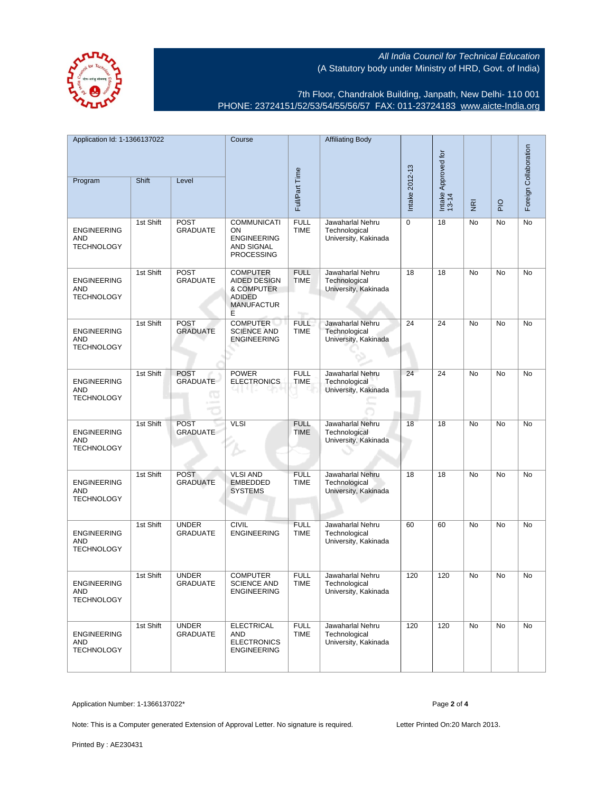7th Floor, Chandralok Building, Janpath, New Delhi- 110 001 PHONE: 23724151/52/53/54/55/56/57 FAX: 011-23724183 [www.aicte-India.org](http://www.aicte-India.org)

| Application Id: 1-1366137022                          |           | Course                                      |                                                                                                 | <b>Affiliating Body</b>    |                                                           |                              |                |                |                       |    |
|-------------------------------------------------------|-----------|---------------------------------------------|-------------------------------------------------------------------------------------------------|----------------------------|-----------------------------------------------------------|------------------------------|----------------|----------------|-----------------------|----|
| Program                                               | Shift     | Level                                       | Full/Part Time                                                                                  |                            | Intake 2012-13                                            | Intake Approved for<br>13-14 | $\overline{g}$ | $\overline{P}$ | Foreign Collaboration |    |
| <b>ENGINEERING</b><br><b>AND</b><br><b>TECHNOLOGY</b> | 1st Shift | <b>POST</b><br><b>GRADUATE</b>              | <b>COMMUNICATI</b><br>ON<br><b>ENGINEERING</b><br><b>AND SIGNAL</b><br><b>PROCESSING</b>        | <b>FULL</b><br><b>TIME</b> | Jawaharlal Nehru<br>Technological<br>University, Kakinada | $\mathbf 0$                  | 18             | No             | No                    | No |
| <b>ENGINEERING</b><br><b>AND</b><br><b>TECHNOLOGY</b> | 1st Shift | <b>POST</b><br><b>GRADUATE</b>              | <b>COMPUTER</b><br><b>AIDED DESIGN</b><br>& COMPUTER<br><b>ADIDED</b><br><b>MANUFACTUR</b><br>Е | <b>FULL</b><br><b>TIME</b> | Jawaharlal Nehru<br>Technological<br>University, Kakinada | 18                           | 18             | No             | No                    | No |
| <b>ENGINEERING</b><br>AND<br><b>TECHNOLOGY</b>        | 1st Shift | <b>POST</b><br><b>GRADUATE</b>              | <b>COMPUTER</b><br><b>SCIENCE AND</b><br><b>ENGINEERING</b>                                     | <b>FULL</b><br><b>TIME</b> | Jawaharlal Nehru<br>Technological<br>University, Kakinada | 24                           | 24             | No             | No                    | No |
| <b>ENGINEERING</b><br>AND<br><b>TECHNOLOGY</b>        | 1st Shift | <b>POST</b><br><b>GRADUATE</b><br><b>TO</b> | <b>POWER</b><br><b>ELECTRONICS</b>                                                              | <b>FULL</b><br><b>TIME</b> | Jawaharlal Nehru<br>Technological<br>University, Kakinada | 24                           | 24             | No             | <b>No</b>             | No |
| <b>ENGINEERING</b><br>AND<br><b>TECHNOLOGY</b>        | 1st Shift | <b>POST</b><br><b>GRADUATE</b>              | <b>VLSI</b>                                                                                     | <b>FULL</b><br><b>TIME</b> | Jawaharlal Nehru<br>Technological<br>University, Kakinada | 18                           | 18             | No             | No                    | No |
| <b>ENGINEERING</b><br><b>AND</b><br><b>TECHNOLOGY</b> | 1st Shift | <b>POST</b><br><b>GRADUATE</b>              | <b>VLSI AND</b><br><b>EMBEDDED</b><br><b>SYSTEMS</b>                                            | <b>FULL</b><br><b>TIME</b> | Jawaharlal Nehru<br>Technological<br>University, Kakinada | 18                           | 18             | No             | No                    | No |
| <b>ENGINEERING</b><br><b>AND</b><br><b>TECHNOLOGY</b> | 1st Shift | <b>UNDER</b><br><b>GRADUATE</b>             | <b>CIVIL</b><br><b>ENGINEERING</b>                                                              | <b>FULL</b><br><b>TIME</b> | Jawaharlal Nehru<br>Technological<br>University, Kakinada | 60                           | 60             | No             | No                    | No |
| <b>ENGINEERING</b><br>AND<br><b>TECHNOLOGY</b>        | 1st Shift | <b>UNDER</b><br><b>GRADUATE</b>             | <b>COMPUTER</b><br><b>SCIENCE AND</b><br><b>ENGINEERING</b>                                     | <b>FULL</b><br><b>TIME</b> | Jawaharlal Nehru<br>Technological<br>University, Kakinada | 120                          | 120            | <b>No</b>      | <b>No</b>             | No |
| <b>ENGINEERING</b><br>AND<br><b>TECHNOLOGY</b>        | 1st Shift | <b>UNDER</b><br><b>GRADUATE</b>             | <b>ELECTRICAL</b><br>AND<br><b>ELECTRONICS</b><br><b>ENGINEERING</b>                            | <b>FULL</b><br><b>TIME</b> | Jawaharlal Nehru<br>Technological<br>University, Kakinada | 120                          | 120            | No             | <b>No</b>             | No |

Application Number: 1-1366137022\* Page **2** of **4**

Note: This is a Computer generated Extension of Approval Letter. No signature is required. Letter Printed On:20 March 2013.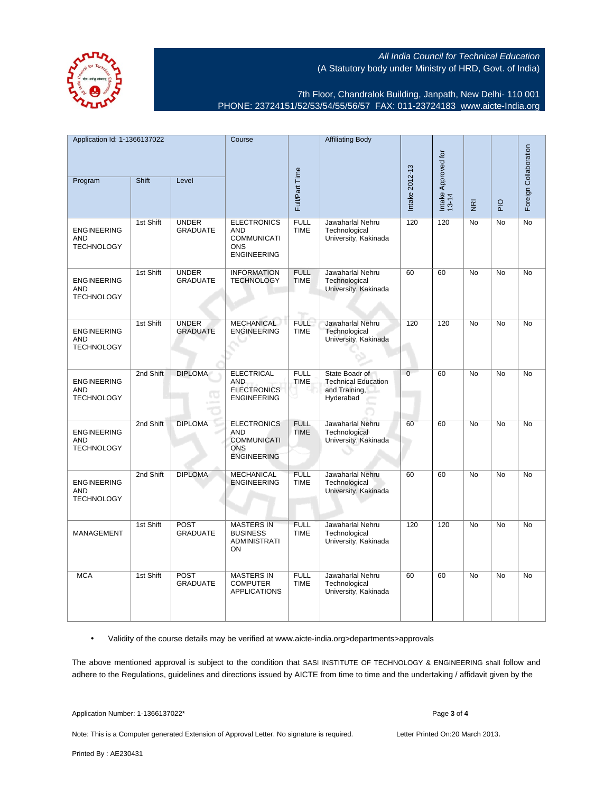7th Floor, Chandralok Building, Janpath, New Delhi- 110 001 PHONE: 23724151/52/53/54/55/56/57 FAX: 011-23724183 [www.aicte-India.org](http://www.aicte-India.org)

| Application Id: 1-1366137022                          |           |                                 | Course                                                                                     |                            | <b>Affiliating Body</b>                                                    |                |                              |                |                       |           |
|-------------------------------------------------------|-----------|---------------------------------|--------------------------------------------------------------------------------------------|----------------------------|----------------------------------------------------------------------------|----------------|------------------------------|----------------|-----------------------|-----------|
|                                                       |           |                                 |                                                                                            |                            |                                                                            |                |                              |                | Foreign Collaboration |           |
| Program                                               | Shift     | Level                           | Full/Part Time                                                                             |                            |                                                                            | Intake 2012-13 | Intake Approved for<br>13-14 | $\overline{g}$ | <b>DI</b>             |           |
| <b>ENGINEERING</b><br><b>AND</b><br><b>TECHNOLOGY</b> | 1st Shift | <b>UNDER</b><br><b>GRADUATE</b> | <b>ELECTRONICS</b><br>AND<br><b>COMMUNICATI</b><br><b>ONS</b><br><b>ENGINEERING</b>        | <b>FULL</b><br><b>TIME</b> | Jawaharlal Nehru<br>Technological<br>University, Kakinada                  | 120            | 120                          | <b>No</b>      | <b>No</b>             | No        |
| <b>ENGINEERING</b><br><b>AND</b><br><b>TECHNOLOGY</b> | 1st Shift | <b>UNDER</b><br><b>GRADUATE</b> | <b>INFORMATION</b><br><b>TECHNOLOGY</b>                                                    | <b>FULL</b><br><b>TIME</b> | Jawaharlal Nehru<br>Technological<br>University, Kakinada                  | 60             | 60                           | <b>No</b>      | <b>No</b>             | No        |
| <b>ENGINEERING</b><br>AND<br><b>TECHNOLOGY</b>        | 1st Shift | <b>UNDER</b><br><b>GRADUATE</b> | <b>MECHANICAL</b><br><b>ENGINEERING</b>                                                    | <b>FULL</b><br><b>TIME</b> | Jawaharlal Nehru<br>Technological<br>University, Kakinada                  | 120            | $\overline{120}$             | <b>No</b>      | <b>No</b>             | <b>No</b> |
| <b>ENGINEERING</b><br><b>AND</b><br><b>TECHNOLOGY</b> | 2nd Shift | <b>DIPLOMA</b><br>œ             | <b>ELECTRICAL</b><br><b>AND</b><br><b>ELECTRONICS</b><br><b>ENGINEERING</b>                | <b>FULL</b><br><b>TIME</b> | State Boadr of<br><b>Technical Education</b><br>and Training,<br>Hyderabad | $\overline{0}$ | 60                           | No             | No                    | No        |
| <b>ENGINEERING</b><br>AND<br><b>TECHNOLOGY</b>        | 2nd Shift | <b>DIPLOMA</b>                  | <b>ELECTRONICS</b><br><b>AND</b><br><b>COMMUNICATI</b><br><b>ONS</b><br><b>ENGINEERING</b> | <b>FULL</b><br><b>TIME</b> | Jawaharlal Nehru<br>Technological<br>University, Kakinada                  | 60             | 60                           | No             | No                    | No        |
| <b>ENGINEERING</b><br><b>AND</b><br><b>TECHNOLOGY</b> | 2nd Shift | <b>DIPLOMA</b>                  | <b>MECHANICAL</b><br><b>ENGINEERING</b>                                                    | <b>FULL</b><br><b>TIME</b> | Jawaharlal Nehru<br>Technological<br>University, Kakinada                  | 60             | 60                           | No             | No                    | No        |
| MANAGEMENT                                            | 1st Shift | <b>POST</b><br><b>GRADUATE</b>  | <b>MASTERS IN</b><br><b>BUSINESS</b><br><b>ADMINISTRATI</b><br>ON                          | <b>FULL</b><br><b>TIME</b> | Jawaharlal Nehru<br>Technological<br>University, Kakinada                  | 120            | 120                          | No             | No                    | No        |
| <b>MCA</b>                                            | 1st Shift | <b>POST</b><br><b>GRADUATE</b>  | <b>MASTERS IN</b><br><b>COMPUTER</b><br><b>APPLICATIONS</b>                                | <b>FULL</b><br><b>TIME</b> | Jawaharlal Nehru<br>Technological<br>University, Kakinada                  | 60             | 60                           | No             | No                    | No        |

• Validity of the course details may be verified at www.aicte-india.org>departments>approvals

The above mentioned approval is subject to the condition that SASI INSTITUTE OF TECHNOLOGY & ENGINEERING shall follow and adhere to the Regulations, guidelines and directions issued by AICTE from time to time and the undertaking / affidavit given by the

Application Number: 1-1366137022\* Page **3** of **4**

Note: This is a Computer generated Extension of Approval Letter. No signature is required. Letter Printed On:20 March 2013.

Printed By : AE230431